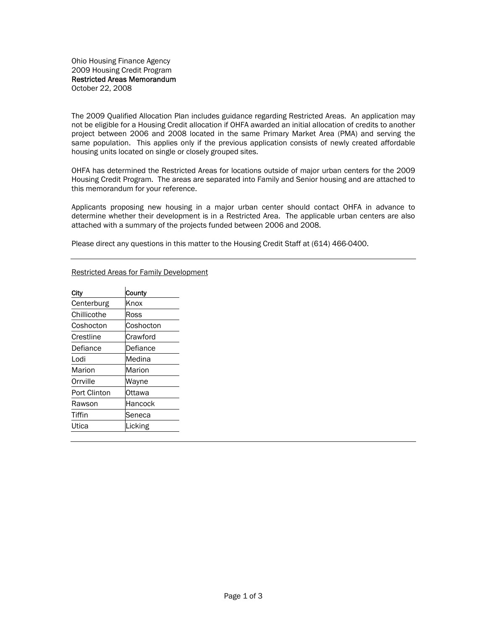The 2009 Qualified Allocation Plan includes guidance regarding Restricted Areas. An application may not be eligible for a Housing Credit allocation if OHFA awarded an initial allocation of credits to another project between 2006 and 2008 located in the same Primary Market Area (PMA) and serving the same population. This applies only if the previous application consists of newly created affordable housing units located on single or closely grouped sites.

OHFA has determined the Restricted Areas for locations outside of major urban centers for the 2009 Housing Credit Program. The areas are separated into Family and Senior housing and are attached to this memorandum for your reference.

Applicants proposing new housing in a major urban center should contact OHFA in advance to determine whether their development is in a Restricted Area. The applicable urban centers are also attached with a summary of the projects funded between 2006 and 2008.

Please direct any questions in this matter to the Housing Credit Staff at (614) 466-0400.

Restricted Areas for Family Development

| City         | County    |  |
|--------------|-----------|--|
| Centerburg   | Knox      |  |
| Chillicothe  | Ross      |  |
| Coshocton    | Coshocton |  |
| Crestline    | Crawford  |  |
| Defiance     | Defiance  |  |
| Lodi         | Medina    |  |
| Marion       | Marion    |  |
| Orrville     | Wayne     |  |
| Port Clinton | Ottawa    |  |
| Rawson       | Hancock   |  |
| Tiffin       | Seneca    |  |
| Utica        | Licking   |  |
|              |           |  |

 $\mathbf{r}$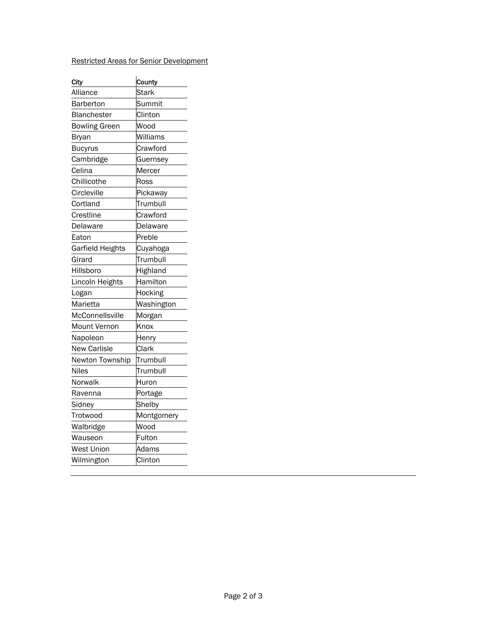Restricted Areas for Senior Development

| City                 | County     |  |  |
|----------------------|------------|--|--|
| Alliance             | Stark      |  |  |
| Barberton            | Summit     |  |  |
| Blanchester          | Clinton    |  |  |
| <b>Bowling Green</b> | Wood       |  |  |
| Bryan                | Williams   |  |  |
| <b>Bucyrus</b>       | Crawford   |  |  |
| Cambridge            | Guernsey   |  |  |
| Celina               | Mercer     |  |  |
| Chillicothe          | Ross       |  |  |
| Circleville          | Pickaway   |  |  |
| Cortland             | Trumbull   |  |  |
| Crestline            | Crawford   |  |  |
| Delaware             | Delaware   |  |  |
| Eaton                | Preble     |  |  |
| Garfield Heights     | Cuyahoga   |  |  |
| Girard               | Trumbull   |  |  |
| Hillsboro            | Highland   |  |  |
| Lincoln Heights      | Hamilton   |  |  |
| Logan                | Hocking    |  |  |
| Marietta             | Washington |  |  |
| McConnellsville      | Morgan     |  |  |
| Mount Vernon         | Knox       |  |  |
| Napoleon             | Henry      |  |  |
| New Carlisle         | Clark      |  |  |
| Newton Township      | Trumbull   |  |  |
| Niles                | Trumbull   |  |  |
| Norwalk              | Huron      |  |  |
| Ravenna              | Portage    |  |  |
| Sidney               | Shelby     |  |  |
| Trotwood             | Montgomery |  |  |
| Walbridge            | Wood       |  |  |
| Wauseon              | Fulton     |  |  |
| West Union           | Adams      |  |  |
| Wilmington           | Clinton    |  |  |